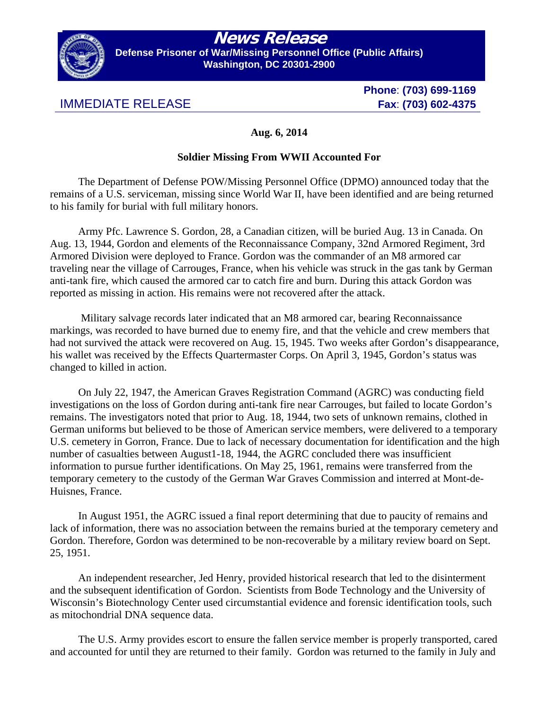

## **News Release**

**Defense Prisoner of War/Missing Personnel Office (Public Affairs) Washington, DC 20301-2900** 

## IMMEDIATE RELEASE **Fax**: **(703) 602-4375**

**Phone**: **(703) 699-1169** 

## **Aug. 6, 2014**

## **Soldier Missing From WWII Accounted For**

The Department of Defense POW/Missing Personnel Office (DPMO) announced today that the remains of a U.S. serviceman, missing since World War II, have been identified and are being returned to his family for burial with full military honors.

Army Pfc. Lawrence S. Gordon, 28, a Canadian citizen, will be buried Aug. 13 in Canada. On Aug. 13, 1944, Gordon and elements of the Reconnaissance Company, 32nd Armored Regiment, 3rd Armored Division were deployed to France. Gordon was the commander of an M8 armored car traveling near the village of Carrouges, France, when his vehicle was struck in the gas tank by German anti-tank fire, which caused the armored car to catch fire and burn. During this attack Gordon was reported as missing in action. His remains were not recovered after the attack.

 Military salvage records later indicated that an M8 armored car, bearing Reconnaissance markings, was recorded to have burned due to enemy fire, and that the vehicle and crew members that had not survived the attack were recovered on Aug. 15, 1945. Two weeks after Gordon's disappearance, his wallet was received by the Effects Quartermaster Corps. On April 3, 1945, Gordon's status was changed to killed in action.

On July 22, 1947, the American Graves Registration Command (AGRC) was conducting field investigations on the loss of Gordon during anti-tank fire near Carrouges, but failed to locate Gordon's remains. The investigators noted that prior to Aug. 18, 1944, two sets of unknown remains, clothed in German uniforms but believed to be those of American service members, were delivered to a temporary U.S. cemetery in Gorron, France. Due to lack of necessary documentation for identification and the high number of casualties between August1-18, 1944, the AGRC concluded there was insufficient information to pursue further identifications. On May 25, 1961, remains were transferred from the temporary cemetery to the custody of the German War Graves Commission and interred at Mont-de-Huisnes, France.

In August 1951, the AGRC issued a final report determining that due to paucity of remains and lack of information, there was no association between the remains buried at the temporary cemetery and Gordon. Therefore, Gordon was determined to be non-recoverable by a military review board on Sept. 25, 1951.

An independent researcher, Jed Henry, provided historical research that led to the disinterment and the subsequent identification of Gordon. Scientists from Bode Technology and the University of Wisconsin's Biotechnology Center used circumstantial evidence and forensic identification tools, such as mitochondrial DNA sequence data.

The U.S. Army provides escort to ensure the fallen service member is properly transported, cared and accounted for until they are returned to their family. Gordon was returned to the family in July and